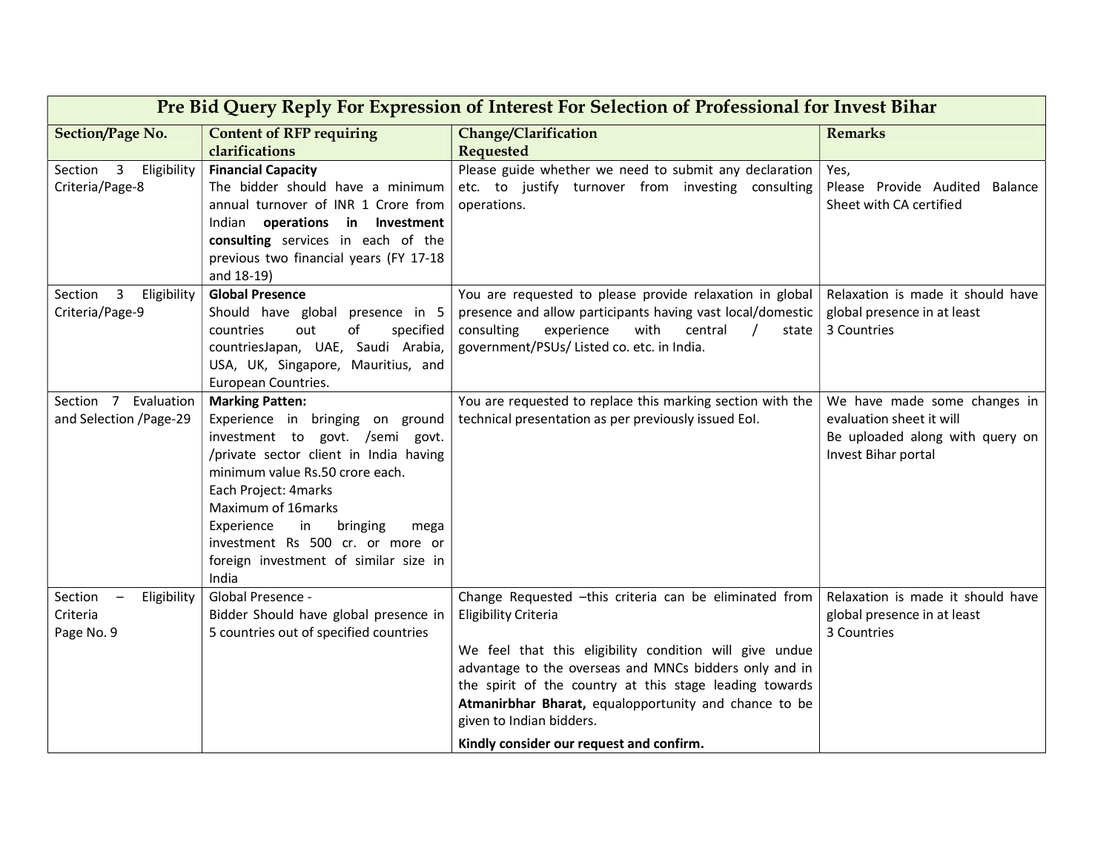| Pre Bid Query Reply For Expression of Interest For Selection of Professional for Invest Bihar |                                                                                                                                                                                                                                                                                                                                                        |                                                                                                                                                                                                                                                                                                                                                                                                        |                                                                                                                    |  |  |  |
|-----------------------------------------------------------------------------------------------|--------------------------------------------------------------------------------------------------------------------------------------------------------------------------------------------------------------------------------------------------------------------------------------------------------------------------------------------------------|--------------------------------------------------------------------------------------------------------------------------------------------------------------------------------------------------------------------------------------------------------------------------------------------------------------------------------------------------------------------------------------------------------|--------------------------------------------------------------------------------------------------------------------|--|--|--|
| <b>Section/Page No.</b>                                                                       | <b>Content of RFP requiring</b><br>clarifications                                                                                                                                                                                                                                                                                                      | Change/Clarification<br>Requested                                                                                                                                                                                                                                                                                                                                                                      | <b>Remarks</b>                                                                                                     |  |  |  |
| Section 3<br>Eligibility<br>Criteria/Page-8                                                   | <b>Financial Capacity</b><br>The bidder should have a minimum<br>annual turnover of INR 1 Crore from<br>Indian operations in Investment<br>consulting services in each of the<br>previous two financial years (FY 17-18<br>and 18-19)                                                                                                                  | Please guide whether we need to submit any declaration<br>etc. to justify turnover from investing consulting<br>operations.                                                                                                                                                                                                                                                                            | Yes,<br>Please Provide Audited<br>Balance<br>Sheet with CA certified                                               |  |  |  |
| $\overline{3}$<br>Section<br>Eligibility<br>Criteria/Page-9                                   | <b>Global Presence</b><br>Should have global presence in 5<br>countries<br>out<br>of<br>specified<br>countriesJapan, UAE, Saudi Arabia,<br>USA, UK, Singapore, Mauritius, and<br>European Countries.                                                                                                                                                   | You are requested to please provide relaxation in global<br>presence and allow participants having vast local/domestic<br>consulting<br>with<br>experience<br>central<br>state<br>government/PSUs/ Listed co. etc. in India.                                                                                                                                                                           | Relaxation is made it should have<br>global presence in at least<br>3 Countries                                    |  |  |  |
| Section 7<br>Evaluation<br>and Selection /Page-29                                             | <b>Marking Patten:</b><br>Experience in bringing on ground<br>investment to govt. /semi govt.<br>/private sector client in India having<br>minimum value Rs.50 crore each.<br>Each Project: 4marks<br>Maximum of 16marks<br>Experience<br>in<br>bringing<br>mega<br>investment Rs 500 cr. or more or<br>foreign investment of similar size in<br>India | You are requested to replace this marking section with the<br>technical presentation as per previously issued EoI.                                                                                                                                                                                                                                                                                     | We have made some changes in<br>evaluation sheet it will<br>Be uploaded along with query on<br>Invest Bihar portal |  |  |  |
| Section<br>Eligibility<br>$\overline{\phantom{m}}$<br>Criteria<br>Page No. 9                  | Global Presence -<br>Bidder Should have global presence in<br>5 countries out of specified countries                                                                                                                                                                                                                                                   | Change Requested -this criteria can be eliminated from<br><b>Eligibility Criteria</b><br>We feel that this eligibility condition will give undue<br>advantage to the overseas and MNCs bidders only and in<br>the spirit of the country at this stage leading towards<br>Atmanirbhar Bharat, equalopportunity and chance to be<br>given to Indian bidders.<br>Kindly consider our request and confirm. | Relaxation is made it should have<br>global presence in at least<br>3 Countries                                    |  |  |  |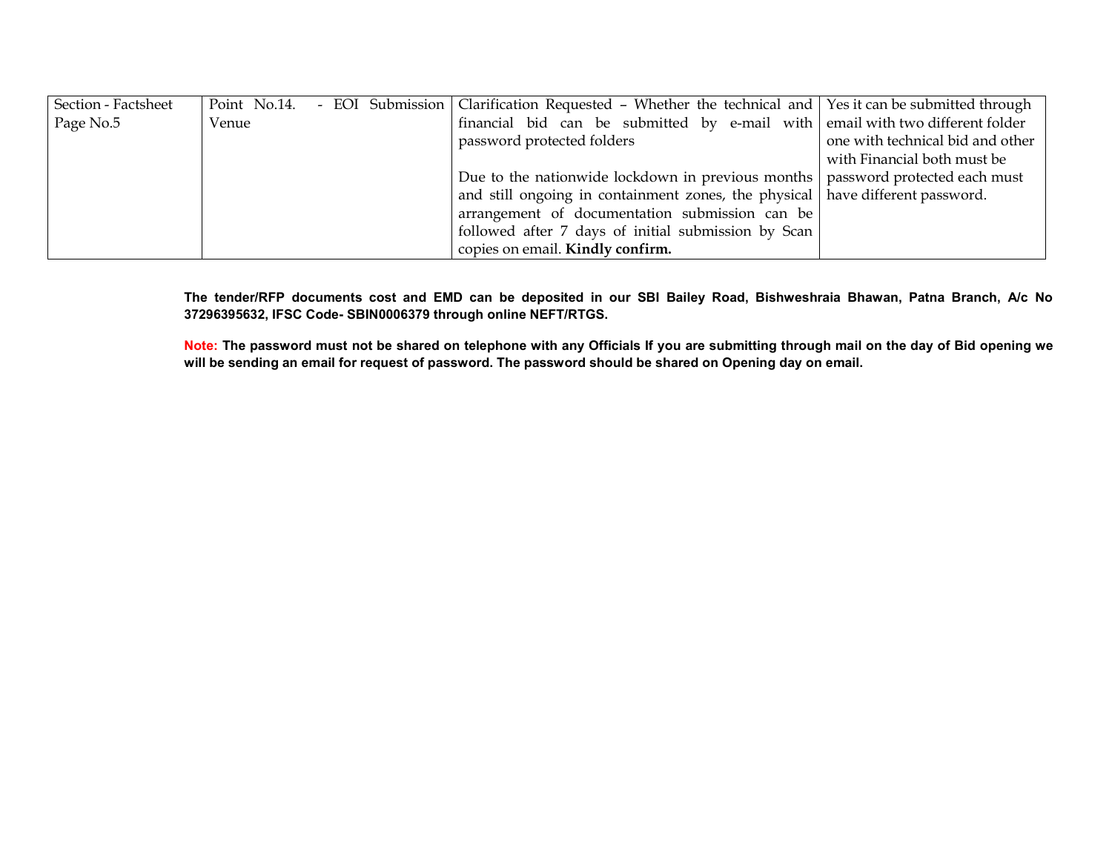| Section - Factsheet |       |  | Point No.14. - EOI Submission   Clarification Requested - Whether the technical and   Yes it can be submitted through |                                  |
|---------------------|-------|--|-----------------------------------------------------------------------------------------------------------------------|----------------------------------|
| Page No.5           | Venue |  | financial bid can be submitted by e-mail with email with two different folder                                         |                                  |
|                     |       |  | password protected folders                                                                                            | one with technical bid and other |
|                     |       |  |                                                                                                                       | with Financial both must be      |
|                     |       |  | Due to the nationwide lockdown in previous months   password protected each must                                      |                                  |
|                     |       |  | and still ongoing in containment zones, the physical have different password.                                         |                                  |
|                     |       |  | arrangement of documentation submission can be                                                                        |                                  |
|                     |       |  | followed after 7 days of initial submission by Scan                                                                   |                                  |
|                     |       |  | copies on email. Kindly confirm.                                                                                      |                                  |

The tender/RFP documents cost and EMD can be deposited in our SBI Bailey Road, Bishweshraia Bhawan, Patna Branch, A/c No 37296395632, IFSC Code- SBIN0006379 through online NEFT/RTGS.

Note: The password must not be shared on telephone with any Officials If you are submitting through mail on the day of Bid opening we will be sending an email for request of password. The password should be shared on Opening day on email.